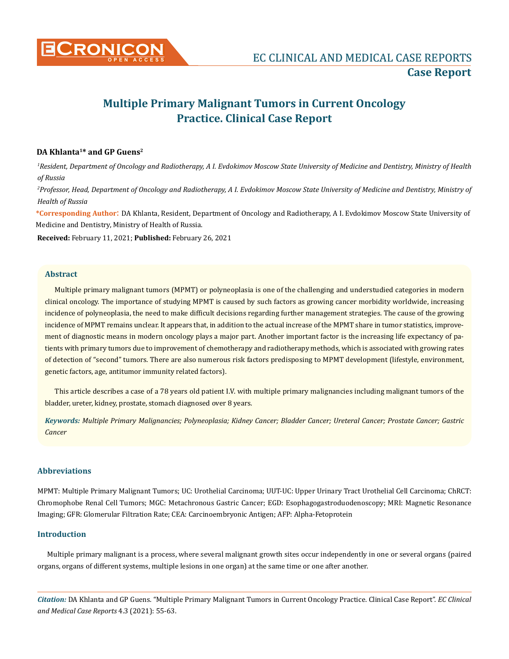

# **Multiple Primary Malignant Tumors in Current Oncology Practice. Clinical Case Report**

## **DA Khlanta1\* and GP Guens2**

*1 Resident, Department of Oncology and Radiotherapy, A I. Evdokimov Moscow State University of Medicine and Dentistry, Ministry of Health of Russia*

*2 Professor, Head, Department of Oncology and Radiotherapy, A I. Evdokimov Moscow State University of Medicine and Dentistry, Ministry of Health of Russia*

**\*Corresponding Author**: DA Khlanta, Resident, Department of Oncology and Radiotherapy, A I. Evdokimov Moscow State University of Medicine and Dentistry, Ministry of Health of Russia.

**Received:** February 11, 2021; **Published:** February 26, 2021

## **Abstract**

Multiple primary malignant tumors (MPMT) or polyneoplasia is one of the challenging and understudied categories in modern clinical oncology. The importance of studying MPMT is caused by such factors as growing cancer morbidity worldwide, increasing incidence of polyneoplasia, the need to make difficult decisions regarding further management strategies. The cause of the growing incidence of MPMT remains unclear. It appears that, in addition to the actual increase of the MPMT share in tumor statistics, improvement of diagnostic means in modern oncology plays a major part. Another important factor is the increasing life expectancy of patients with primary tumors due to improvement of chemotherapy and radiotherapy methods, which is associated with growing rates of detection of "second" tumors. There are also numerous risk factors predisposing to MPMT development (lifestyle, environment, genetic factors, age, antitumor immunity related factors).

This article describes a case of a 78 years old patient I.V. with multiple primary malignancies including malignant tumors of the bladder, ureter, kidney, prostate, stomach diagnosed over 8 years.

*Keywords: Multiple Primary Malignancies; Polyneoplasia; Kidney Cancer; Bladder Cancer; Ureteral Cancer; Prostate Cancer; Gastric Cancer*

# **Abbreviations**

MPMT: Multiple Primary Malignant Tumors; UC: Urothelial Carcinoma; UUT-UC: Upper Urinary Tract Urothelial Cell Carcinoma; ChRCT: Chromophobe Renal Cell Tumors; MGC: Metachronous Gastric Cancer; EGD: Esophagogastroduodenoscopy; MRI: Magnetic Resonance Imaging; GFR: Glomerular Filtration Rate; CEA: Carcinoembryonic Antigen; AFP: Alpha-Fetoprotein

# **Introduction**

Multiple primary malignant is a process, where several malignant growth sites occur independently in one or several organs (paired organs, organs of different systems, multiple lesions in one organ) at the same time or one after another.

*Citation:* DA Khlanta and GP Guens. "Multiple Primary Malignant Tumors in Current Oncology Practice. Clinical Case Report". *EC Clinical and Medical Case Reports* 4.3 (2021): 55-63.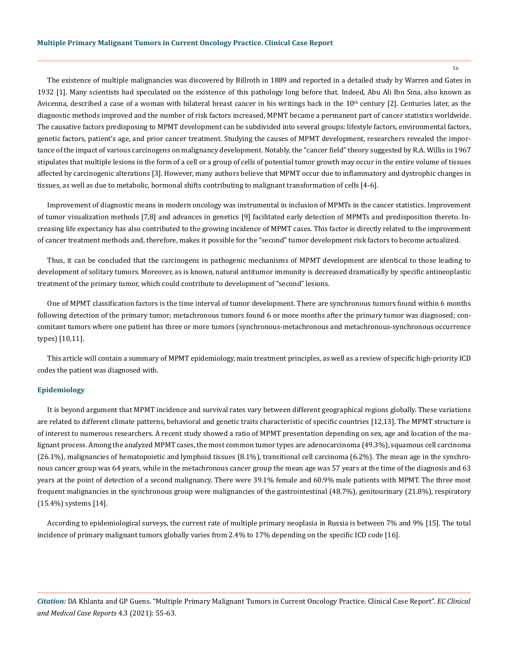The existence of multiple malignancies was discovered by Billroth in 1889 and reported in a detailed study by Warren and Gates in 1932 [1]. Many scientists had speculated on the existence of this pathology long before that. Indeed, Abu Ali Ibn Sina, also known as Avicenna, described a case of a woman with bilateral breast cancer in his writings back in the  $10<sup>th</sup>$  century [2]. Centuries later, as the diagnostic methods improved and the number of risk factors increased, MPMT became a permanent part of cancer statistics worldwide. The causative factors predisposing to MPMT development can be subdivided into several groups: lifestyle factors, environmental factors, genetic factors, patient's age, and prior cancer treatment. Studying the causes of MPMT development, researchers revealed the importance of the impact of various carcinogens on malignancy development. Notably, the "cancer field" theory suggested by R.A. Willis in 1967 stipulates that multiple lesions in the form of a cell or a group of cells of potential tumor growth may occur in the entire volume of tissues affected by carcinogenic alterations [3]. However, many authors believe that MPMT occur due to inflammatory and dystrophic changes in tissues, as well as due to metabolic, hormonal shifts contributing to malignant transformation of cells [4-6].

Improvement of diagnostic means in modern oncology was instrumental in inclusion of MPMTs in the cancer statistics. Improvement of tumor visualization methods [7,8] and advances in genetics [9] facilitated early detection of MPMTs and predisposition thereto. Increasing life expectancy has also contributed to the growing incidence of MPMT cases. This factor is directly related to the improvement of cancer treatment methods and, therefore, makes it possible for the "second" tumor development risk factors to become actualized.

Thus, it can be concluded that the carcinogens in pathogenic mechanisms of MPMT development are identical to those leading to development of solitary tumors. Moreover, as is known, natural antitumor immunity is decreased dramatically by specific antineoplastic treatment of the primary tumor, which could contribute to development of "second" lesions.

One of MPMT classification factors is the time interval of tumor development. There are synchronous tumors found within 6 months following detection of the primary tumor; metachronous tumors found 6 or more months after the primary tumor was diagnosed; concomitant tumors where one patient has three or more tumors (synchronous-metachronous and metachronous-synchronous occurrence types) [10,11].

This article will contain a summary of MPMT epidemiology, main treatment principles, as well as a review of specific high-priority ICD codes the patient was diagnosed with.

## **Epidemiology**

It is beyond argument that MPMT incidence and survival rates vary between different geographical regions globally. These variations are related to different climate patterns, behavioral and genetic traits characteristic of specific countries [12,13]. The MPMT structure is of interest to numerous researchers. A recent study showed a ratio of MPMT presentation depending on sex, age and location of the malignant process. Among the analyzed MPMT cases, the most common tumor types are adenocarcinoma (49.3%), squamous cell carcinoma (26.1%), malignancies of hematopoietic and lymphoid tissues (8.1%), transitional cell carcinoma (6.2%). The mean age in the synchronous cancer group was 64 years, while in the metachronous cancer group the mean age was 57 years at the time of the diagnosis and 63 years at the point of detection of a second malignancy. There were 39.1% female and 60.9% male patients with MPMT. The three most frequent malignancies in the synchronous group were malignancies of the gastrointestinal (48.7%), genitourinary (21.8%), respiratory (15.4%) systems [14].

According to epidemiological surveys, the current rate of multiple primary neoplasia in Russia is between 7% and 9% [15]. The total incidence of primary malignant tumors globally varies from 2.4% to 17% depending on the specific ICD code [16].

*Citation:* DA Khlanta and GP Guens. "Multiple Primary Malignant Tumors in Current Oncology Practice. Clinical Case Report". *EC Clinical and Medical Case Reports* 4.3 (2021): 55-63.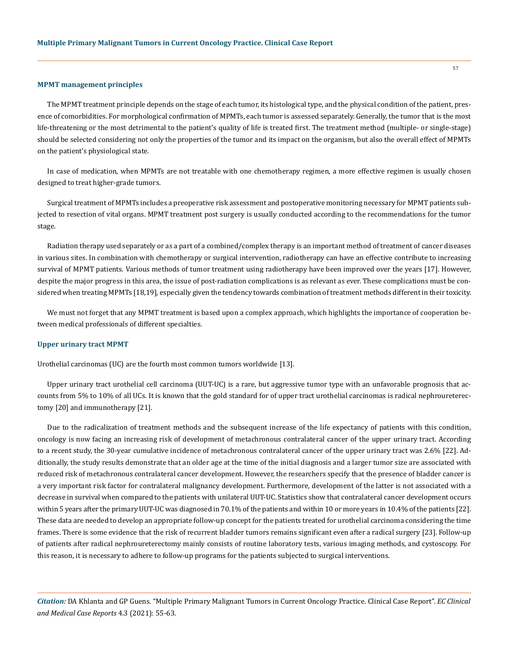#### **MPMT management principles**

The MPMT treatment principle depends on the stage of each tumor, its histological type, and the physical condition of the patient, presence of comorbidities. For morphological confirmation of MPMTs, each tumor is assessed separately. Generally, the tumor that is the most life-threatening or the most detrimental to the patient's quality of life is treated first. The treatment method (multiple- or single-stage) should be selected considering not only the properties of the tumor and its impact on the organism, but also the overall effect of MPMTs on the patient's physiological state.

In case of medication, when MPMTs are not treatable with one chemotherapy regimen, a more effective regimen is usually chosen designed to treat higher-grade tumors.

Surgical treatment of MPMTs includes a preoperative risk assessment and postoperative monitoring necessary for MPMT patients subjected to resection of vital organs. MPMT treatment post surgery is usually conducted according to the recommendations for the tumor stage.

Radiation therapy used separately or as a part of a combined/complex therapy is an important method of treatment of cancer diseases in various sites. In combination with chemotherapy or surgical intervention, radiotherapy can have an effective contribute to increasing survival of MPMT patients. Various methods of tumor treatment using radiotherapy have been improved over the years [17]. However, despite the major progress in this area, the issue of post-radiation complications is as relevant as ever. These complications must be considered when treating MPMTs [18,19], especially given the tendency towards combination of treatment methods different in their toxicity.

We must not forget that any MPMT treatment is based upon a complex approach, which highlights the importance of cooperation between medical professionals of different specialties.

#### **Upper urinary tract MPMT**

Urothelial carcinomas (UC) are the fourth most common tumors worldwide [13].

Upper urinary tract urothelial cell carcinoma (UUT-UC) is a rare, but aggressive tumor type with an unfavorable prognosis that accounts from 5% to 10% of all UCs. It is known that the gold standard for of upper tract urothelial carcinomas is radical nephroureterectomy [20] and immunotherapy [21].

Due to the radicalization of treatment methods and the subsequent increase of the life expectancy of patients with this condition, oncology is now facing an increasing risk of development of metachronous contralateral cancer of the upper urinary tract. According to a recent study, the 30-year cumulative incidence of metachronous contralateral cancer of the upper urinary tract was 2.6% [22]. Additionally, the study results demonstrate that an older age at the time of the initial diagnosis and a larger tumor size are associated with reduced risk of metachronous contralateral cancer development. However, the researchers specify that the presence of bladder cancer is a very important risk factor for contralateral malignancy development. Furthermore, development of the latter is not associated with a decrease in survival when compared to the patients with unilateral UUT-UC. Statistics show that contralateral cancer development occurs within 5 years after the primary UUT-UC was diagnosed in 70.1% of the patients and within 10 or more years in 10.4% of the patients [22]. These data are needed to develop an appropriate follow-up concept for the patients treated for urothelial carcinoma considering the time frames. There is some evidence that the risk of recurrent bladder tumors remains significant even after a radical surgery [23]. Follow-up of patients after radical nephroureterectomy mainly consists of routine laboratory tests, various imaging methods, and cystoscopy. For this reason, it is necessary to adhere to follow-up programs for the patients subjected to surgical interventions.

*Citation:* DA Khlanta and GP Guens. "Multiple Primary Malignant Tumors in Current Oncology Practice. Clinical Case Report". *EC Clinical and Medical Case Reports* 4.3 (2021): 55-63.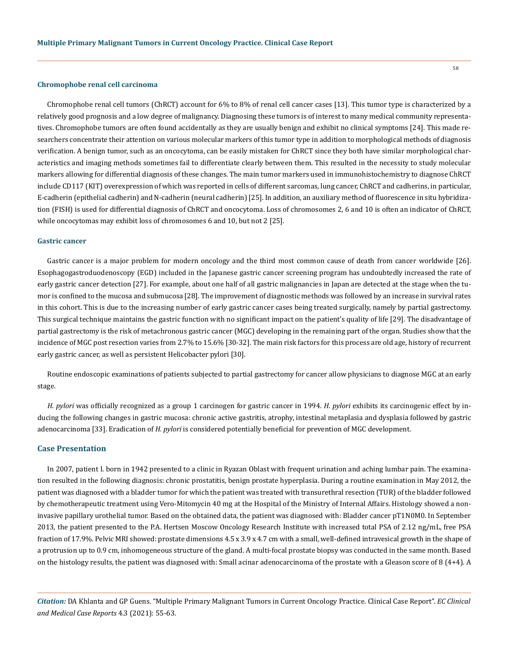#### **Chromophobe renal cell carcinoma**

Chromophobe renal cell tumors (ChRCT) account for 6% to 8% of renal cell cancer cases [13]. This tumor type is characterized by a relatively good prognosis and a low degree of malignancy. Diagnosing these tumors is of interest to many medical community representatives. Chromophobe tumors are often found accidentally as they are usually benign and exhibit no clinical symptoms [24]. This made researchers concentrate their attention on various molecular markers of this tumor type in addition to morphological methods of diagnosis verification. A benign tumor, such as an oncocytoma, can be easily mistaken for ChRCT since they both have similar morphological characteristics and imaging methods sometimes fail to differentiate clearly between them. This resulted in the necessity to study molecular markers allowing for differential diagnosis of these changes. The main tumor markers used in immunohistochemistry to diagnose ChRCT include CD117 (KIT) overexpression of which was reported in cells of different sarcomas, lung cancer, ChRCT and cadherins, in particular, E-cadherin (epithelial cadherin) and N-cadherin (neural cadherin) [25]. In addition, an auxiliary method of fluorescence in situ hybridization (FISH) is used for differential diagnosis of ChRCT and oncocytoma. Loss of chromosomes 2, 6 and 10 is often an indicator of ChRCT, while oncocytomas may exhibit loss of chromosomes 6 and 10, but not 2 [25].

#### **Gastric cancer**

Gastric cancer is a major problem for modern oncology and the third most common cause of death from cancer worldwide [26]. Esophagogastroduodenoscopy (EGD) included in the Japanese gastric cancer screening program has undoubtedly increased the rate of early gastric cancer detection [27]. For example, about one half of all gastric malignancies in Japan are detected at the stage when the tumor is confined to the mucosa and submucosa [28]. The improvement of diagnostic methods was followed by an increase in survival rates in this cohort. This is due to the increasing number of early gastric cancer cases being treated surgically, namely by partial gastrectomy. This surgical technique maintains the gastric function with no significant impact on the patient's quality of life [29]. The disadvantage of partial gastrectomy is the risk of metachronous gastric cancer (MGC) developing in the remaining part of the organ. Studies show that the incidence of MGC post resection varies from 2.7% to 15.6% [30-32]. The main risk factors for this process are old age, history of recurrent early gastric cancer, as well as persistent Helicobacter pylori [30].

Routine endoscopic examinations of patients subjected to partial gastrectomy for cancer allow physicians to diagnose MGC at an early stage.

*H. pylori* was officially recognized as a group 1 carcinogen for gastric cancer in 1994. *H. pylori* exhibits its carcinogenic effect by inducing the following changes in gastric mucosa: chronic active gastritis, atrophy, intestinal metaplasia and dysplasia followed by gastric adenocarcinoma [33]. Eradication of *H. pylori* is considered potentially beneficial for prevention of MGC development.

#### **Case Presentation**

In 2007, patient I. born in 1942 presented to a clinic in Ryazan Oblast with frequent urination and aching lumbar pain. The examination resulted in the following diagnosis: chronic prostatitis, benign prostate hyperplasia. During a routine examination in May 2012, the patient was diagnosed with a bladder tumor for which the patient was treated with transurethral resection (TUR) of the bladder followed by chemotherapeutic treatment using Vero-Mitomycin 40 mg at the Hospital of the Ministry of Internal Affairs. Histology showed a noninvasive papillary urothelial tumor. Based on the obtained data, the patient was diagnosed with: Bladder cancer pT1N0M0. In September 2013, the patient presented to the P.A. Hertsen Moscow Oncology Research Institute with increased total PSA of 2.12 ng/mL, free PSA fraction of 17.9%. Pelvic MRI showed: prostate dimensions 4.5 х 3.9 х 4.7 cm with a small, well-defined intravesical growth in the shape of a protrusion up to 0.9 cm, inhomogeneous structure of the gland. A multi-focal prostate biopsy was conducted in the same month. Based on the histology results, the patient was diagnosed with: Small acinar adenocarcinoma of the prostate with a Gleason score of 8 (4+4). A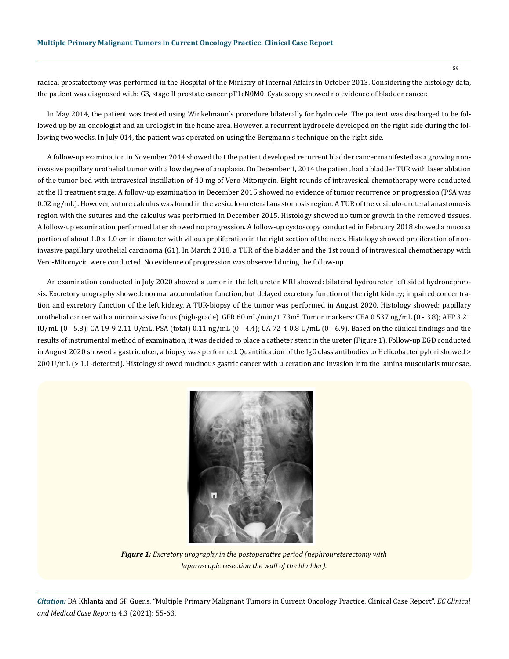radical prostatectomy was performed in the Hospital of the Ministry of Internal Affairs in October 2013. Considering the histology data, the patient was diagnosed with: G3, stage II prostate cancer pT1cN0M0. Cystoscopy showed no evidence of bladder cancer.

In May 2014, the patient was treated using Winkelmann's procedure bilaterally for hydrocele. The patient was discharged to be followed up by an oncologist and an urologist in the home area. However, a recurrent hydrocele developed on the right side during the following two weeks. In July 014, the patient was operated on using the Bergmann's technique on the right side.

A follow-up examination in November 2014 showed that the patient developed recurrent bladder cancer manifested as a growing noninvasive papillary urothelial tumor with a low degree of anaplasia. On December 1, 2014 the patient had a bladder TUR with laser ablation of the tumor bed with intravesical instillation of 40 mg of Vero-Mitomycin. Eight rounds of intravesical chemotherapy were conducted at the II treatment stage. A follow-up examination in December 2015 showed no evidence of tumor recurrence or progression (PSA was 0.02 ng/mL). However, suture calculus was found in the vesiculo-ureteral anastomosis region. A TUR of the vesiculo-ureteral anastomosis region with the sutures and the calculus was performed in December 2015. Histology showed no tumor growth in the removed tissues. A follow-up examination performed later showed no progression. A follow-up cystoscopy conducted in February 2018 showed a mucosa portion of about 1.0 x 1.0 cm in diameter with villous proliferation in the right section of the neck. Histology showed proliferation of noninvasive papillary urothelial carcinoma (G1). In March 2018, a TUR of the bladder and the 1st round of intravesical chemotherapy with Vero-Mitomycin were conducted. No evidence of progression was observed during the follow-up.

An examination conducted in July 2020 showed a tumor in the left ureter. MRI showed: bilateral hydroureter, left sided hydronephrosis. Excretory urography showed: normal accumulation function, but delayed excretory function of the right kidney; impaired concentration and excretory function of the left kidney. A TUR-biopsy of the tumor was performed in August 2020. Histology showed: papillary urothelial cancer with a microinvasive focus (high-grade). GFR 60 mL/min/1.73m<sup>2</sup>. Tumor markers: CEA 0.537 ng/mL (0 - 3.8); AFP 3.21 IU/mL (0 - 5.8); CA 19-9 2.11 U/mL, PSA (total) 0.11 ng/mL (0 - 4.4); CA 72-4 0.8 U/mL (0 - 6.9). Based on the clinical findings and the results of instrumental method of examination, it was decided to place a catheter stent in the ureter (Figure 1). Follow-up EGD conducted in August 2020 showed a gastric ulcer, a biopsy was performed. Quantification of the IgG class antibodies to Helicobacter pylori showed > 200 U/mL (> 1.1-detected). Histology showed mucinous gastric cancer with ulceration and invasion into the lamina muscularis mucosae.



*Figure 1: Excretory urography in the postoperative period (nephroureterectomy with laparoscopic resection the wall of the bladder).*

*Citation:* DA Khlanta and GP Guens. "Multiple Primary Malignant Tumors in Current Oncology Practice. Clinical Case Report". *EC Clinical and Medical Case Reports* 4.3 (2021): 55-63.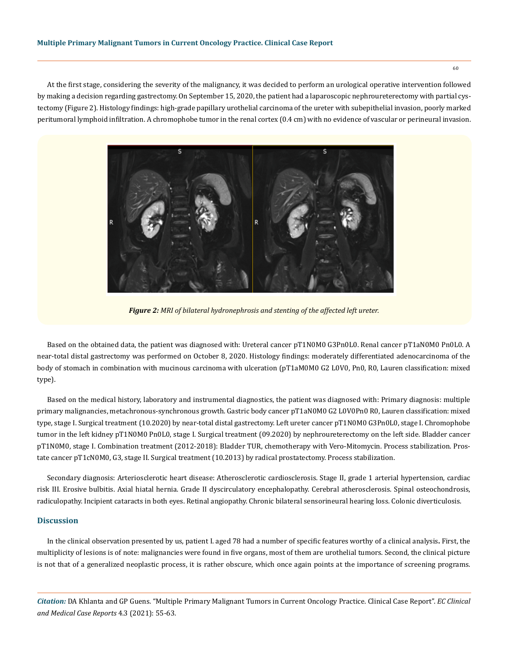At the first stage, considering the severity of the malignancy, it was decided to perform an urological operative intervention followed by making a decision regarding gastrectomy. On September 15, 2020, the patient had a laparoscopic nephroureterectomy with partial cystectomy (Figure 2). Histology findings: high-grade papillary urothelial carcinoma of the ureter with subepithelial invasion, poorly marked peritumoral lymphoid infiltration. A chromophobe tumor in the renal cortex (0.4 cm) with no evidence of vascular or perineural invasion.



*Figure 2: MRI of bilateral hydronephrosis and stenting of the affected left ureter.*

Based on the obtained data, the patient was diagnosed with: Ureteral cancer pT1N0M0 G3Pn0L0. Renal cancer pT1aN0M0 Pn0L0. A near-total distal gastrectomy was performed on October 8, 2020. Histology findings: moderately differentiated adenocarcinoma of the body of stomach in combination with mucinous carcinoma with ulceration (pT1aM0M0 G2 L0V0, Pn0, R0, Lauren classification: mixed type).

Based on the medical history, laboratory and instrumental diagnostics, the patient was diagnosed with: Primary diagnosis: multiple primary malignancies, metachronous-synchronous growth. Gastric body cancer pT1aN0M0 G2 L0V0Pn0 R0, Lauren classification: mixed type, stage I. Surgical treatment (10.2020) by near-total distal gastrectomy. Left ureter cancer pT1N0M0 G3Pn0L0, stage I. Chromophobe tumor in the left kidney pT1N0M0 Pn0L0, stage I. Surgical treatment (09.2020) by nephroureterectomy on the left side. Bladder cancer pT1N0M0, stage I. Combination treatment (2012-2018): Bladder TUR, chemotherapy with Vero-Mitomycin. Process stabilization. Prostate cancer pT1cN0M0, G3, stage II. Surgical treatment (10.2013) by radical prostatectomy. Process stabilization.

Secondary diagnosis: Arteriosclerotic heart disease: Atherosclerotic cardiosclerosis. Stage II, grade 1 arterial hypertension, cardiac risk III. Erosive bulbitis. Axial hiatal hernia. Grade II dyscirculatory encephalopathy. Cerebral atherosclerosis. Spinal osteochondrosis, radiculopathy. Incipient cataracts in both eyes. Retinal angiopathy. Chronic bilateral sensorineural hearing loss. Colonic diverticulosis.

## **Discussion**

In the clinical observation presented by us, patient I. aged 78 had a number of specific features worthy of a clinical analysis**.** First, the multiplicity of lesions is of note: malignancies were found in five organs, most of them are urothelial tumors. Second, the clinical picture is not that of a generalized neoplastic process, it is rather obscure, which once again points at the importance of screening programs.

*Citation:* DA Khlanta and GP Guens. "Multiple Primary Malignant Tumors in Current Oncology Practice. Clinical Case Report". *EC Clinical and Medical Case Reports* 4.3 (2021): 55-63.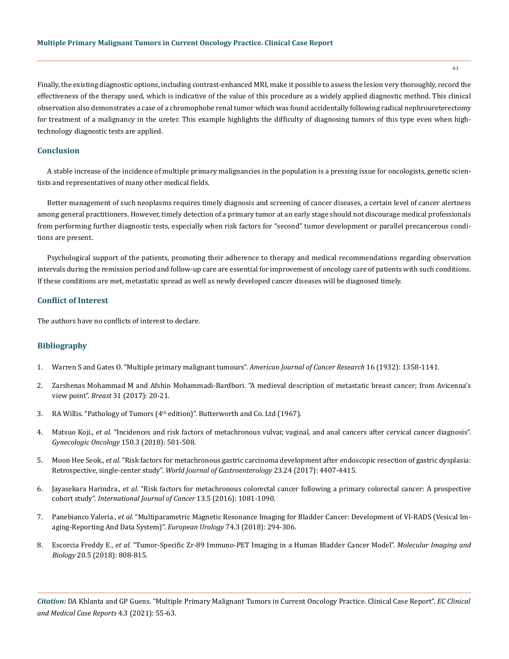Finally, the existing diagnostic options, including contrast-enhanced MRI, make it possible to assess the lesion very thoroughly, record the effectiveness of the therapy used, which is indicative of the value of this procedure as a widely applied diagnostic method. This clinical observation also demonstrates a case of a chromophobe renal tumor which was found accidentally following radical nephroureterectomy for treatment of a malignancy in the ureter. This example highlights the difficulty of diagnosing tumors of this type even when hightechnology diagnostic tests are applied.

# **Conclusion**

A stable increase of the incidence of multiple primary malignancies in the population is a pressing issue for oncologists, genetic scientists and representatives of many other medical fields.

Better management of such neoplasms requires timely diagnosis and screening of cancer diseases, a certain level of cancer alertness among general practitioners. However, timely detection of a primary tumor at an early stage should not discourage medical professionals from performing further diagnostic tests, especially when risk factors for "second" tumor development or parallel precancerous conditions are present.

Psychological support of the patients, promoting their adherence to therapy and medical recommendations regarding observation intervals during the remission period and follow-up care are essential for improvement of oncology care of patients with such conditions. If these conditions are met, metastatic spread as well as newly developed cancer diseases will be diagnosed timely.

## **Conflict of Interest**

The authors have no conflicts of interest to declare.

## **Bibliography**

- 1. Warren S and Gates O. "Multiple primary malignant tumours". *American Journal of Cancer Research* 16 (1932): 1358-1141.
- 2. [Zarshenas Mohammad M and Afshin Mohammadi-Bardbori. "A medieval description of metastatic breast cancer; from Avicenna's](https://pubmed.ncbi.nlm.nih.gov/27810694/)  view point". *Breast* [31 \(2017\): 20-21.](https://pubmed.ncbi.nlm.nih.gov/27810694/)
- 3. RA Willis. "Pathology of Tumors (4<sup>th</sup> edition)". Butterworth and Co. Ltd (1967).
- 4. Matsuo Koji., *et al.* ["Incidences and risk factors of metachronous vulvar, vaginal, and anal cancers after cervical cancer diagnosis".](https://www.ncbi.nlm.nih.gov/pmc/articles/PMC7521078/)  *[Gynecologic Oncology](https://www.ncbi.nlm.nih.gov/pmc/articles/PMC7521078/)* 150.3 (2018): 501-508.
- 5. Moon Hee Seok., *et al.* ["Risk factors for metachronous gastric carcinoma development after endoscopic resection of gastric dysplasia:](https://journals.plos.org/plosone/article?id=10.1371/journal.pone.0185501)  Retrospective, single-center study". *[World Journal of Gastroenterology](https://journals.plos.org/plosone/article?id=10.1371/journal.pone.0185501)* 23.24 (2017): 4407-4415.
- 6. Jayasekara Harindra., *et al.* ["Risk factors for metachronous colorectal cancer following a primary colorectal cancer: A prospective](https://pubmed.ncbi.nlm.nih.gov/27098183/)  cohort study". *[International Journal of Cancer](https://pubmed.ncbi.nlm.nih.gov/27098183/)* 13.5 (2016): 1081-1090.
- 7. Panebianco Valeria., *et al.* ["Multiparametric Magnetic Resonance Imaging for Bladder Cancer: Development of VI-RADS \(Vesical Im](https://pubmed.ncbi.nlm.nih.gov/29755006/)[aging-Reporting And Data System\)".](https://pubmed.ncbi.nlm.nih.gov/29755006/) *European Urology* 74.3 (2018): 294-306.
- 8. Escorcia Freddy E., *et al.* ["Tumor-Specific Zr-89 Immuno-PET Imaging in a Human Bladder Cancer Model".](https://www.ncbi.nlm.nih.gov/pmc/articles/PMC6153671/) *Molecular Imaging and Biology* [20.5 \(2018\): 808-815.](https://www.ncbi.nlm.nih.gov/pmc/articles/PMC6153671/)

*Citation:* DA Khlanta and GP Guens. "Multiple Primary Malignant Tumors in Current Oncology Practice. Clinical Case Report". *EC Clinical and Medical Case Reports* 4.3 (2021): 55-63.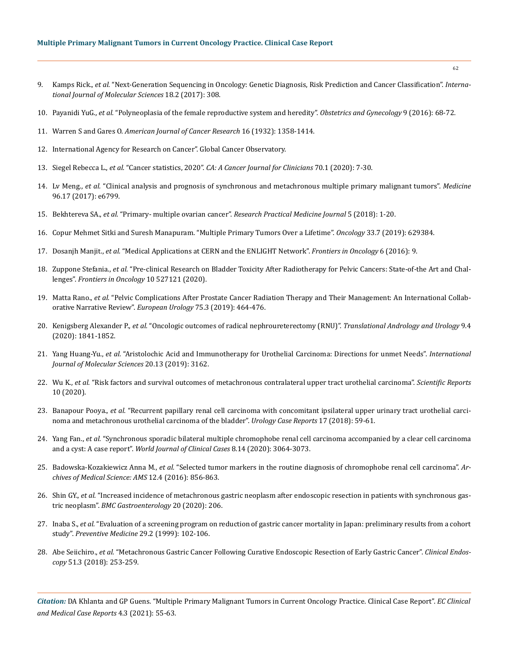- 9. Kamps Rick., *et al.* ["Next-Generation Sequencing in Oncology: Genetic Diagnosis, Risk Prediction and Cancer Classification".](https://www.ncbi.nlm.nih.gov/pmc/articles/PMC5343844/) *Interna[tional Journal of Molecular Sciences](https://www.ncbi.nlm.nih.gov/pmc/articles/PMC5343844/)* 18.2 (2017): 308.
- 10. Payanidi YuG., *et al.* ["Polyneoplasia of the female reproductive system and heredity".](https://en.aig-journal.ru/articles/Polineoplaziya-organov-jenskoi-reproduktivnoi-sistemy-i-nasledstvennost.html) *Obstetrics and Gynecology* 9 (2016): 68-72.
- 11. Warren S and Gares O. *American Journal of Cancer Research* 16 (1932): 1358-1414.
- 12. International Agency for Research on Cancer". Global Cancer Observatory.
- 13. Siegel Rebecca L., *et al.* "Cancer statistics, 2020". *[CA: A Cancer Journal for Clinicians](https://acsjournals.onlinelibrary.wiley.com/doi/full/10.3322/caac.21590)* 70.1 (2020): 7-30.
- 14. Lv Meng., *et al.* ["Clinical analysis and prognosis of synchronous and metachronous multiple primary malignant tumors".](https://pubmed.ncbi.nlm.nih.gov/28445321/) *Medicine* [96.17 \(2017\): e6799.](https://pubmed.ncbi.nlm.nih.gov/28445321/)
- 15. Bekhtereva SA., *et al.* "Primary- multiple ovarian cancer". *Research Practical Medicine Journal* 5 (2018): 1-20.
- 16. [Copur Mehmet Sitki and Suresh Manapuram. "Multiple Primary Tumors Over a Lifetime".](https://pubmed.ncbi.nlm.nih.gov/31365752/) *Oncology* 33.7 (2019): 629384.
- 17. Dosanjh Manjit., *et al.* ["Medical Applications at CERN and the ENLIGHT Network".](https://www.frontiersin.org/articles/10.3389/fonc.2016.00009/full) *Frontiers in Oncology* 6 (2016): 9.
- 18. Zuppone Stefania., *et al.* ["Pre-clinical Research on Bladder Toxicity After Radiotherapy for Pelvic Cancers: State-of-the Art and Chal](https://www.frontiersin.org/articles/10.3389/fonc.2020.527121/full)lenges". *[Frontiers in Oncology](https://www.frontiersin.org/articles/10.3389/fonc.2020.527121/full)* 10 527121 (2020).
- 19. Matta Rano., *et al.* ["Pelvic Complications After Prostate Cancer Radiation Therapy and Their Management: An International Collab](https://pubmed.ncbi.nlm.nih.gov/30573316/)[orative Narrative Review".](https://pubmed.ncbi.nlm.nih.gov/30573316/) *European Urology* 75.3 (2019): 464-476.
- 20. Kenigsberg Alexander P., *et al.* ["Oncologic outcomes of radical nephroureterectomy \(RNU\)".](https://www.ncbi.nlm.nih.gov/pmc/articles/PMC7475687/) *Translational Andrology and Urology* 9.4 [\(2020\): 1841-1852.](https://www.ncbi.nlm.nih.gov/pmc/articles/PMC7475687/)
- 21. Yang Huang-Yu., *et al.* ["Aristolochic Acid and Immunotherapy for Urothelial Carcinoma: Directions for unmet Needs".](https://pubmed.ncbi.nlm.nih.gov/31261684/) *International [Journal of Molecular Sciences](https://pubmed.ncbi.nlm.nih.gov/31261684/)* 20.13 (2019): 3162.
- 22. Wu K., *et al.* ["Risk factors and survival outcomes of metachronous contralateral upper tract urothelial carcinoma".](https://www.nature.com/articles/s41598-020-73699-5) *Scientific Reports* [10 \(2020\).](https://www.nature.com/articles/s41598-020-73699-5)
- 23. Banapour Pooya., *et al.* ["Recurrent papillary renal cell carcinoma with concomitant ipsilateral upper urinary tract urothelial carci](https://pubmed.ncbi.nlm.nih.gov/29379740/)[noma and metachronous urothelial carcinoma of the bladder".](https://pubmed.ncbi.nlm.nih.gov/29379740/) *Urology Case Reports* 17 (2018): 59-61.
- 24. Yang Fan., *et al.* ["Synchronous sporadic bilateral multiple chromophobe renal cell carcinoma accompanied by a clear cell carcinoma](https://www.wjgnet.com/2307-8960/full/v8/i14/3064.htm)  and a cyst: A case report". *[World Journal of Clinical Cases](https://www.wjgnet.com/2307-8960/full/v8/i14/3064.htm)* 8.14 (2020): 3064-3073.
- 25. Badowska-Kozakiewicz Anna M., *et al.* ["Selected tumor markers in the routine diagnosis of chromophobe renal cell carcinoma".](https://www.ncbi.nlm.nih.gov/pmc/articles/PMC4947610/) *Ar[chives of Medical Science: AMS](https://www.ncbi.nlm.nih.gov/pmc/articles/PMC4947610/)* 12.4 (2016): 856-863.
- 26. Shin GY., *et al.* ["Increased incidence of metachronous gastric neoplasm after endoscopic resection in patients with synchronous gas](https://pubmed.ncbi.nlm.nih.gov/32605537/)tric neoplasm". *[BMC Gastroenterology](https://pubmed.ncbi.nlm.nih.gov/32605537/)* 20 (2020): 206.
- 27. Inaba S., *et al.* ["Evaluation of a screening program on reduction of gastric cancer mortality in Japan: preliminary results from a cohort](https://www.sciencedirect.com/science/article/abs/pii/S0091743599905078)  study". *[Preventive Medicine](https://www.sciencedirect.com/science/article/abs/pii/S0091743599905078)* 29.2 (1999): 102-106.
- 28. Abe Seiichiro., *et al.* ["Metachronous Gastric Cancer Following Curative Endoscopic Resection of Early Gastric Cancer".](https://pubmed.ncbi.nlm.nih.gov/28920420/) *Clinical Endoscopy* [51.3 \(2018\): 253-259.](https://pubmed.ncbi.nlm.nih.gov/28920420/)

*Citation:* DA Khlanta and GP Guens. "Multiple Primary Malignant Tumors in Current Oncology Practice. Clinical Case Report". *EC Clinical and Medical Case Reports* 4.3 (2021): 55-63.